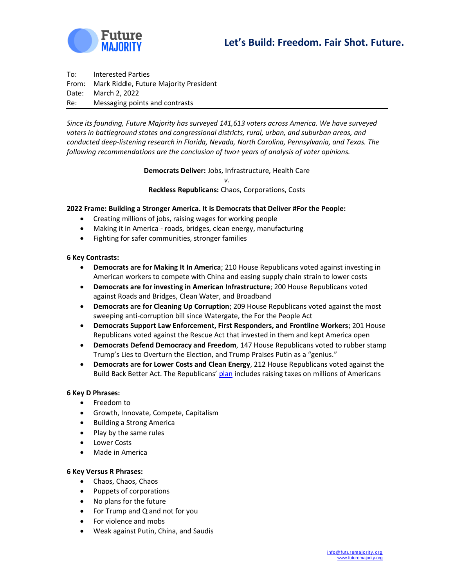

To: Interested Parties From: Mark Riddle, Future Majority President Date: March 2, 2022 Re: Messaging points and contrasts

*Since its founding, Future Majority has surveyed 141,613 voters across America. We have surveyed voters in battleground states and congressional districts, rural, urban, and suburban areas, and conducted deep-listening research in Florida, Nevada, North Carolina, Pennsylvania, and Texas. The following recommendations are the conclusion of two+ years of analysis of voter opinions.* 

**Democrats Deliver:** Jobs, Infrastructure, Health Care

*v.* **Reckless Republicans:** Chaos, Corporations, Costs

## **2022 Frame: Building a Stronger America. It is Democrats that Deliver #For the People:**

- Creating millions of jobs, raising wages for working people
- Making it in America roads, bridges, clean energy, manufacturing
- Fighting for safer communities, stronger families

#### **6 Key Contrasts:**

- **Democrats are for Making It In America**; 210 House Republicans voted against investing in American workers to compete with China and easing supply chain strain to lower costs
- **Democrats are for investing in American Infrastructure**; 200 House Republicans voted against Roads and Bridges, Clean Water, and Broadband
- **Democrats are for Cleaning Up Corruption**; 209 House Republicans voted against the most sweeping anti-corruption bill since Watergate, the For the People Act
- **Democrats Support Law Enforcement, First Responders, and Frontline Workers**; 201 House Republicans voted against the Rescue Act that invested in them and kept America open
- **Democrats Defend Democracy and Freedom**, 147 House Republicans voted to rubber stamp Trump's Lies to Overturn the Election, and Trump Praises Putin as a "genius."
- **Democrats are for Lower Costs and Clean Energy**, 212 House Republicans voted against the Build Back Better Act. The Republicans' [plan](https://www.businessinsider.com/senator-rick-scott-federal-income-tax-gop-midterm-platform-2022-2) includes raising taxes on millions of Americans

#### **6 Key D Phrases:**

- Freedom to
- Growth, Innovate, Compete, Capitalism
- Building a Strong America
- Play by the same rules
- Lower Costs
- Made in America

#### **6 Key Versus R Phrases:**

- Chaos, Chaos, Chaos
- Puppets of corporations
- No plans for the future
- For Trump and Q and not for you
- For violence and mobs
- Weak against Putin, China, and Saudis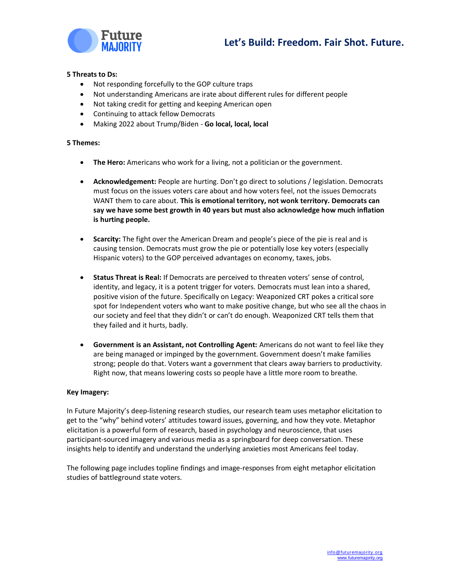



#### **5 Threats to Ds:**

- Not responding forcefully to the GOP culture traps
- Not understanding Americans are irate about different rules for different people
- Not taking credit for getting and keeping American open
- Continuing to attack fellow Democrats
- Making 2022 about Trump/Biden **Go local, local, local**

### **5 Themes:**

- **The Hero:** Americans who work for a living, not a politician or the government.
- **Acknowledgement:** People are hurting. Don't go direct to solutions / legislation. Democrats must focus on the issues voters care about and how voters feel, not the issues Democrats WANT them to care about. **This is emotional territory, not wonk territory. Democrats can say we have some best growth in 40 years but must also acknowledge how much inflation is hurting people.**
- **Scarcity:** The fight over the American Dream and people's piece of the pie is real and is causing tension. Democrats must grow the pie or potentially lose key voters (especially Hispanic voters) to the GOP perceived advantages on economy, taxes, jobs.
- **Status Threat is Real:** If Democrats are perceived to threaten voters' sense of control, identity, and legacy, it is a potent trigger for voters. Democrats must lean into a shared, positive vision of the future. Specifically on Legacy: Weaponized CRT pokes a critical sore spot for Independent voters who want to make positive change, but who see all the chaos in our society and feel that they didn't or can't do enough. Weaponized CRT tells them that they failed and it hurts, badly.
- **Government is an Assistant, not Controlling Agent:** Americans do not want to feel like they are being managed or impinged by the government. Government doesn't make families strong; people do that. Voters want a government that clears away barriers to productivity. Right now, that means lowering costs so people have a little more room to breathe.

#### **Key Imagery:**

In Future Majority's deep-listening research studies, our research team uses metaphor elicitation to get to the "why" behind voters' attitudes toward issues, governing, and how they vote. Metaphor elicitation is a powerful form of research, based in psychology and neuroscience, that uses participant-sourced imagery and various media as a springboard for deep conversation. These insights help to identify and understand the underlying anxieties most Americans feel today.

The following page includes topline findings and image-responses from eight metaphor elicitation studies of battleground state voters.